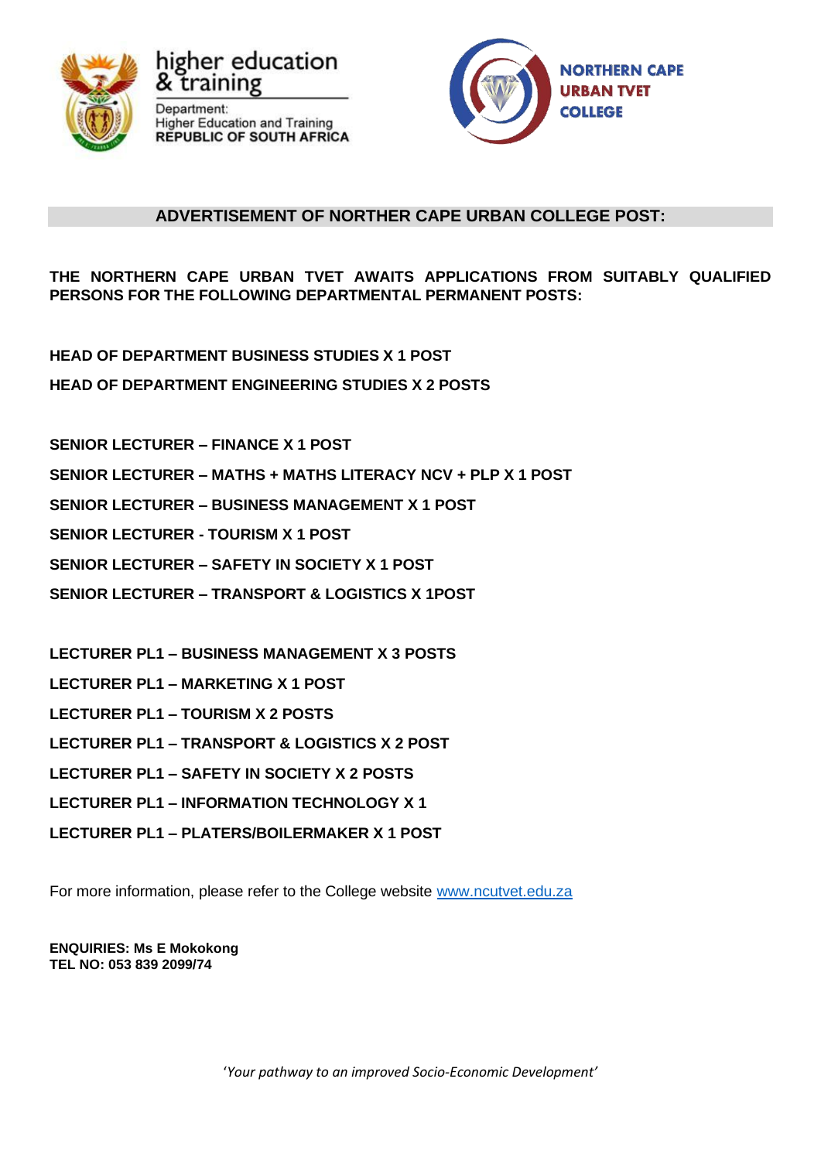

igher education training Department: **Higher Education and Training REPUBLIC OF SOUTH AFRICA** 



# **ADVERTISEMENT OF NORTHER CAPE URBAN COLLEGE POST:**

**THE NORTHERN CAPE URBAN TVET AWAITS APPLICATIONS FROM SUITABLY QUALIFIED PERSONS FOR THE FOLLOWING DEPARTMENTAL PERMANENT POSTS:**

- **HEAD OF DEPARTMENT BUSINESS STUDIES X 1 POST**
- **HEAD OF DEPARTMENT ENGINEERING STUDIES X 2 POSTS**
- **SENIOR LECTURER – FINANCE X 1 POST**
- **SENIOR LECTURER – MATHS + MATHS LITERACY NCV + PLP X 1 POST**
- **SENIOR LECTURER – BUSINESS MANAGEMENT X 1 POST**
- **SENIOR LECTURER - TOURISM X 1 POST**
- **SENIOR LECTURER – SAFETY IN SOCIETY X 1 POST**
- **SENIOR LECTURER – TRANSPORT & LOGISTICS X 1POST**
- **LECTURER PL1 – BUSINESS MANAGEMENT X 3 POSTS**
- **LECTURER PL1 – MARKETING X 1 POST**
- **LECTURER PL1 – TOURISM X 2 POSTS**
- **LECTURER PL1 – TRANSPORT & LOGISTICS X 2 POST**
- **LECTURER PL1 – SAFETY IN SOCIETY X 2 POSTS**
- **LECTURER PL1 – INFORMATION TECHNOLOGY X 1**
- **LECTURER PL1 – PLATERS/BOILERMAKER X 1 POST**

For more information, please refer to the College website [www.ncutvet.edu.za](http://www.ncutvet.edu.za/)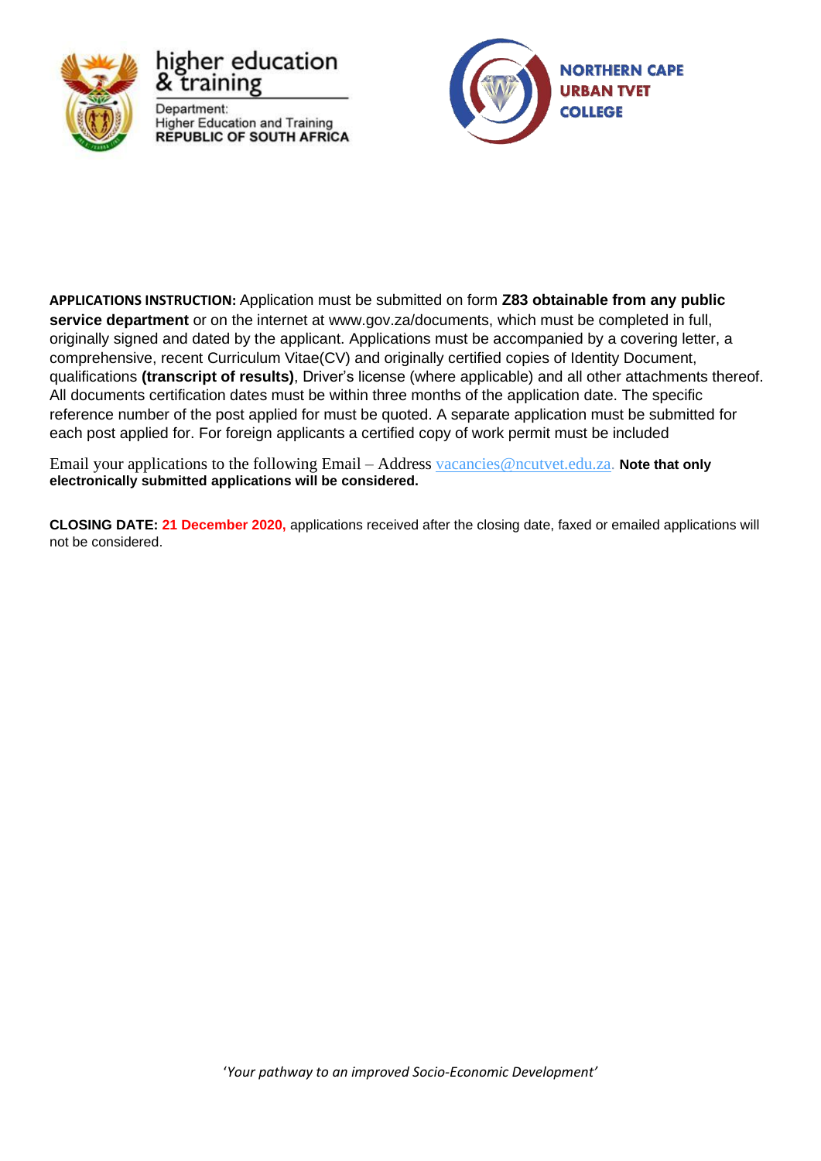

higher education training Department: **Higher Education and Training REPUBLIC OF SOUTH AFRICA** 



**APPLICATIONS INSTRUCTION:** Application must be submitted on form **Z83 obtainable from any public service department** or on the internet at [www.gov.za/documents,](http://www.gov.za/documents) which must be completed in full, originally signed and dated by the applicant. Applications must be accompanied by a covering letter, a comprehensive, recent Curriculum Vitae(CV) and originally certified copies of Identity Document, qualifications **(transcript of results)**, Driver's license (where applicable) and all other attachments thereof. All documents certification dates must be within three months of the application date. The specific reference number of the post applied for must be quoted. A separate application must be submitted for each post applied for. For foreign applicants a certified copy of work permit must be included

Email your applications to the following Email – Address [vacancies@ncutvet.edu.za.](mailto:vacancies@ncutvet.edu.za) **Note that only electronically submitted applications will be considered.**

**CLOSING DATE: 21 December 2020,** applications received after the closing date, faxed or emailed applications will not be considered.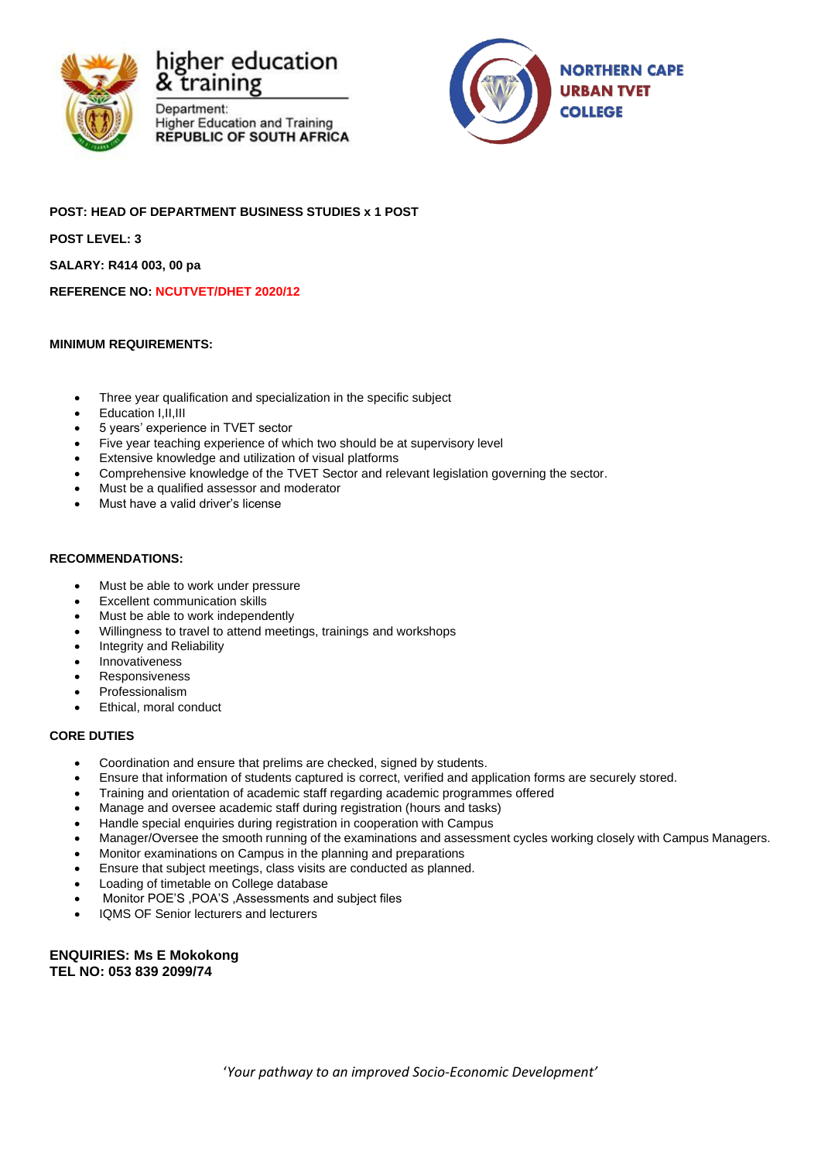





**POST: HEAD OF DEPARTMENT BUSINESS STUDIES x 1 POST POST LEVEL: 3 SALARY: R414 003, 00 pa REFERENCE NO: NCUTVET/DHET 2020/12**

#### **MINIMUM REQUIREMENTS:**

- Three year qualification and specialization in the specific subject
- Education I,II,III
- 5 years' experience in TVET sector
- Five year teaching experience of which two should be at supervisory level
- Extensive knowledge and utilization of visual platforms
- Comprehensive knowledge of the TVET Sector and relevant legislation governing the sector.
- Must be a qualified assessor and moderator
- Must have a valid driver's license

#### **RECOMMENDATIONS:**

- Must be able to work under pressure
- **Excellent communication skills**
- Must be able to work independently
- Willingness to travel to attend meetings, trainings and workshops
- Integrity and Reliability
- **Innovativeness**
- **Responsiveness**
- **Professionalism**
- Ethical, moral conduct

#### **CORE DUTIES**

- Coordination and ensure that prelims are checked, signed by students.
- Ensure that information of students captured is correct, verified and application forms are securely stored.
- Training and orientation of academic staff regarding academic programmes offered
- Manage and oversee academic staff during registration (hours and tasks)
- Handle special enquiries during registration in cooperation with Campus
- Manager/Oversee the smooth running of the examinations and assessment cycles working closely with Campus Managers.
- Monitor examinations on Campus in the planning and preparations
- Ensure that subject meetings, class visits are conducted as planned.
- Loading of timetable on College database
- Monitor POE'S ,POA'S ,Assessments and subject files
- IQMS OF Senior lecturers and lecturers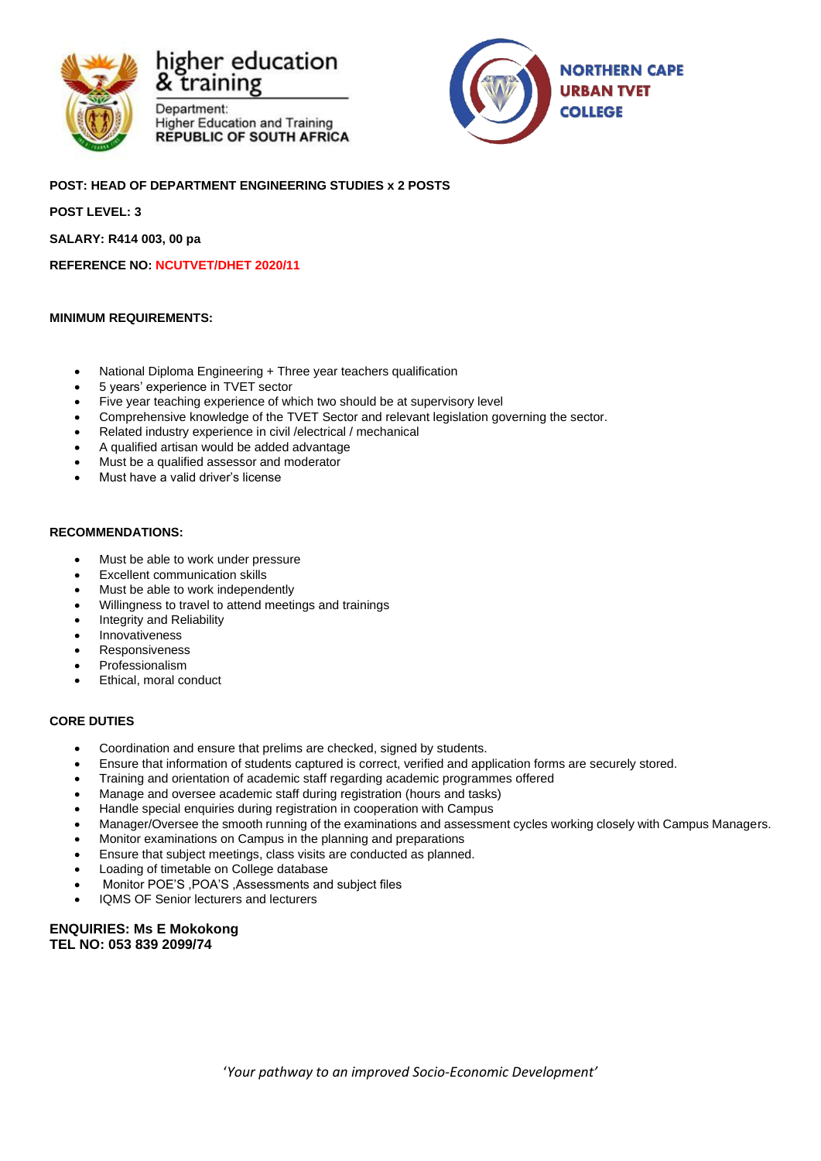

Department: **Higher Education and Training REPUBLIC OF SOUTH AFRICA** 



### **POST: HEAD OF DEPARTMENT ENGINEERING STUDIES x 2 POSTS**

**POST LEVEL: 3**

**SALARY: R414 003, 00 pa**

**REFERENCE NO: NCUTVET/DHET 2020/11**

#### **MINIMUM REQUIREMENTS:**

- National Diploma Engineering + Three year teachers qualification
- 5 years' experience in TVET sector
- Five year teaching experience of which two should be at supervisory level
- Comprehensive knowledge of the TVET Sector and relevant legislation governing the sector.
- Related industry experience in civil /electrical / mechanical
- A qualified artisan would be added advantage
- Must be a qualified assessor and moderator
- Must have a valid driver's license

#### **RECOMMENDATIONS:**

- Must be able to work under pressure
- **Excellent communication skills**
- Must be able to work independently
- Willingness to travel to attend meetings and trainings
- Integrity and Reliability
- **Innovativeness**
- **Responsiveness**
- **Professionalism**
- Ethical, moral conduct

#### **CORE DUTIES**

- Coordination and ensure that prelims are checked, signed by students.
- Ensure that information of students captured is correct, verified and application forms are securely stored.
- Training and orientation of academic staff regarding academic programmes offered
- Manage and oversee academic staff during registration (hours and tasks)
- Handle special enquiries during registration in cooperation with Campus
- Manager/Oversee the smooth running of the examinations and assessment cycles working closely with Campus Managers.
- Monitor examinations on Campus in the planning and preparations
- Ensure that subject meetings, class visits are conducted as planned.
- Loading of timetable on College database
- Monitor POE'S ,POA'S ,Assessments and subject files
- IQMS OF Senior lecturers and lecturers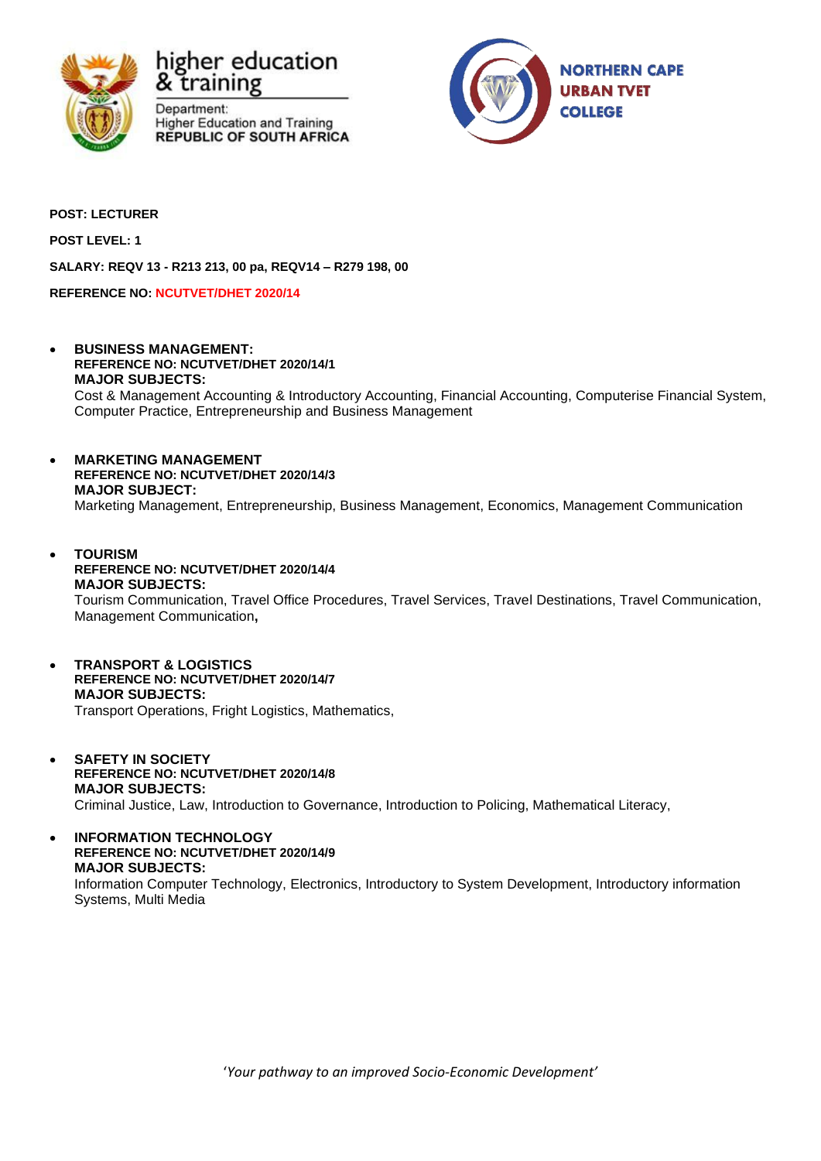





**POST: LECTURER**

**POST LEVEL: 1**

**SALARY: REQV 13 - R213 213, 00 pa, REQV14 – R279 198, 00**

**REFERENCE NO: NCUTVET/DHET 2020/14**

- **BUSINESS MANAGEMENT: REFERENCE NO: NCUTVET/DHET 2020/14/1 MAJOR SUBJECTS:** Cost & Management Accounting & Introductory Accounting, Financial Accounting, Computerise Financial System, Computer Practice, Entrepreneurship and Business Management
- **MARKETING MANAGEMENT REFERENCE NO: NCUTVET/DHET 2020/14/3 MAJOR SUBJECT:** Marketing Management, Entrepreneurship, Business Management, Economics, Management Communication
- **TOURISM REFERENCE NO: NCUTVET/DHET 2020/14/4 MAJOR SUBJECTS:** Tourism Communication, Travel Office Procedures, Travel Services, Travel Destinations, Travel Communication, Management Communication**,**
- **TRANSPORT & LOGISTICS REFERENCE NO: NCUTVET/DHET 2020/14/7 MAJOR SUBJECTS:** Transport Operations, Fright Logistics, Mathematics,
- **SAFETY IN SOCIETY REFERENCE NO: NCUTVET/DHET 2020/14/8 MAJOR SUBJECTS:** Criminal Justice, Law, Introduction to Governance, Introduction to Policing, Mathematical Literacy,
- **INFORMATION TECHNOLOGY REFERENCE NO: NCUTVET/DHET 2020/14/9 MAJOR SUBJECTS:** Information Computer Technology, Electronics, Introductory to System Development, Introductory information Systems, Multi Media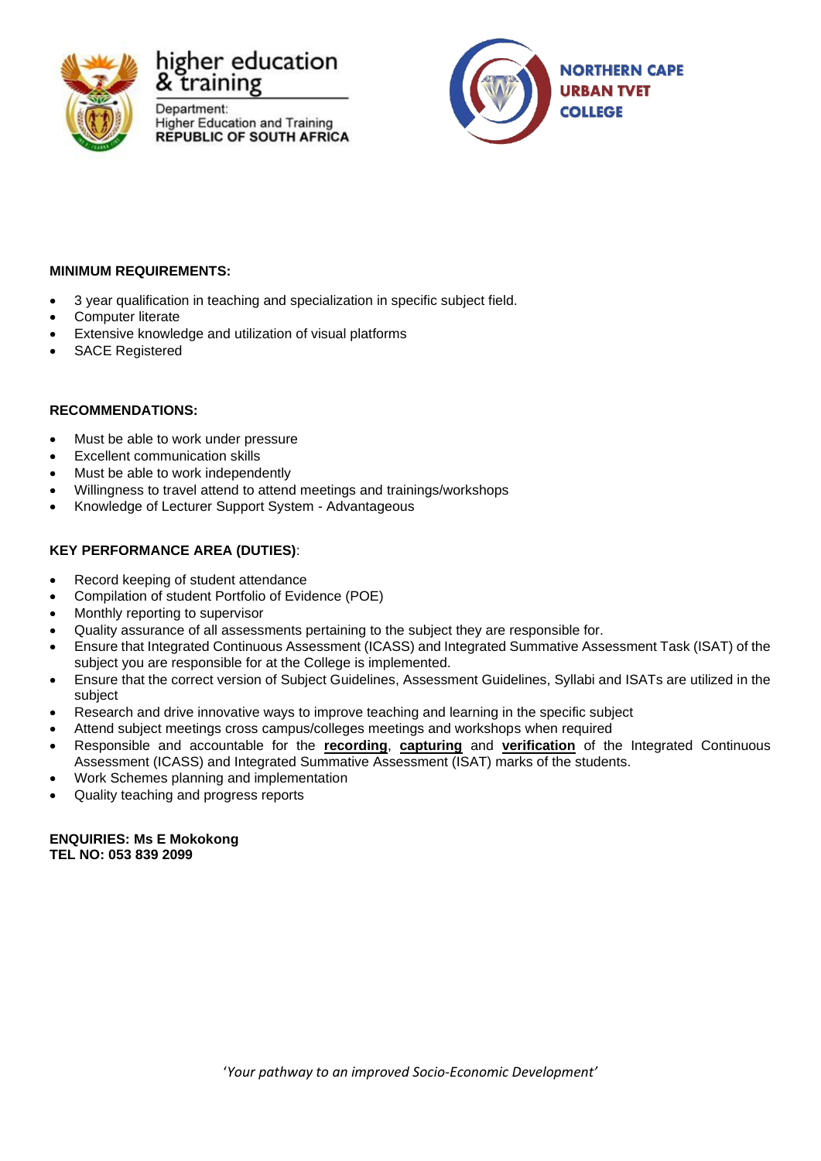

Department: **Higher Education and Training REPUBLIC OF SOUTH AFRICA** 



# **MINIMUM REQUIREMENTS:**

- 3 year qualification in teaching and specialization in specific subject field.
- Computer literate
- Extensive knowledge and utilization of visual platforms
- SACE Registered

# **RECOMMENDATIONS:**

- Must be able to work under pressure
- **Excellent communication skills**
- Must be able to work independently
- Willingness to travel attend to attend meetings and trainings/workshops
- Knowledge of Lecturer Support System Advantageous

# **KEY PERFORMANCE AREA (DUTIES)**:

- Record keeping of student attendance
- Compilation of student Portfolio of Evidence (POE)
- Monthly reporting to supervisor
- Quality assurance of all assessments pertaining to the subject they are responsible for.
- Ensure that Integrated Continuous Assessment (ICASS) and Integrated Summative Assessment Task (ISAT) of the subject you are responsible for at the College is implemented.
- Ensure that the correct version of Subject Guidelines, Assessment Guidelines, Syllabi and ISATs are utilized in the subject
- Research and drive innovative ways to improve teaching and learning in the specific subject
- Attend subject meetings cross campus/colleges meetings and workshops when required
- Responsible and accountable for the **recording**, **capturing** and **verification** of the Integrated Continuous Assessment (ICASS) and Integrated Summative Assessment (ISAT) marks of the students.
- Work Schemes planning and implementation
- Quality teaching and progress reports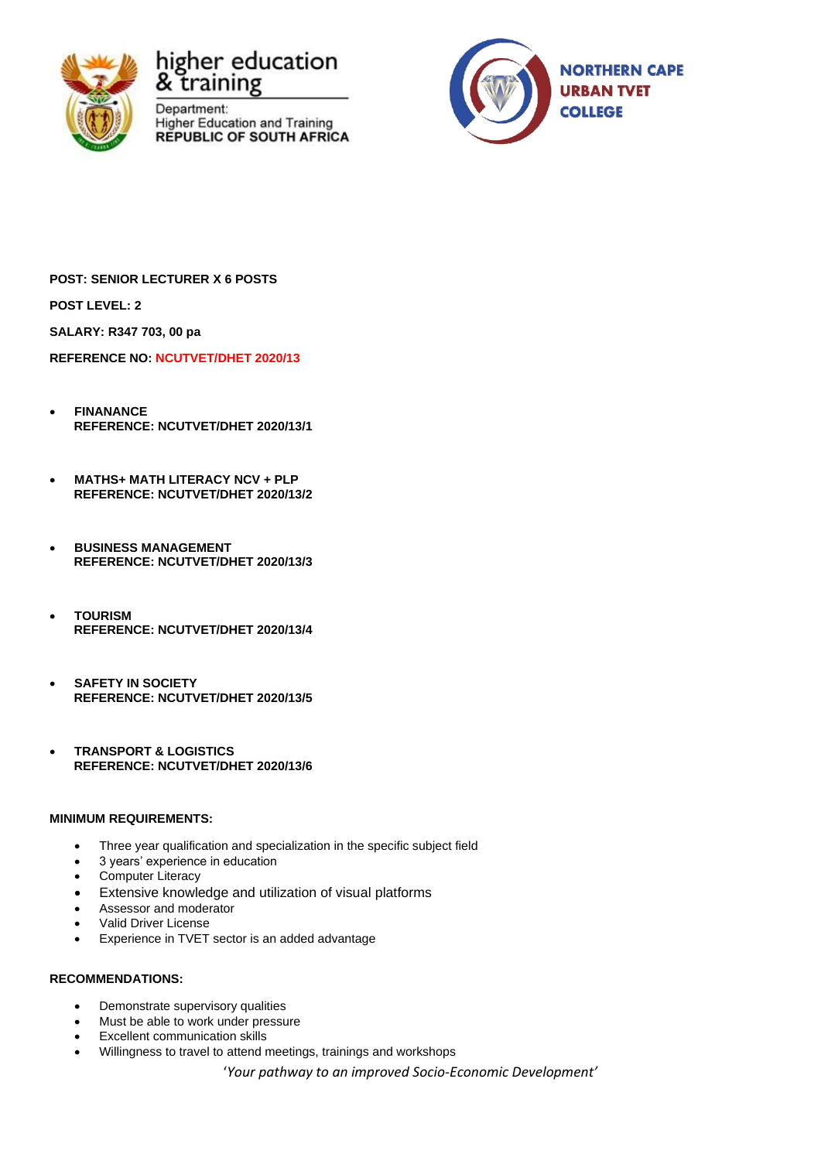





**POST: SENIOR LECTURER X 6 POSTS**

**POST LEVEL: 2**

**SALARY: R347 703, 00 pa**

**REFERENCE NO: NCUTVET/DHET 2020/13**

- **FINANANCE REFERENCE: NCUTVET/DHET 2020/13/1**
- **MATHS+ MATH LITERACY NCV + PLP REFERENCE: NCUTVET/DHET 2020/13/2**
- **BUSINESS MANAGEMENT REFERENCE: NCUTVET/DHET 2020/13/3**
- **TOURISM REFERENCE: NCUTVET/DHET 2020/13/4**
- **SAFETY IN SOCIETY REFERENCE: NCUTVET/DHET 2020/13/5**
- **TRANSPORT & LOGISTICS REFERENCE: NCUTVET/DHET 2020/13/6**

#### **MINIMUM REQUIREMENTS:**

- Three year qualification and specialization in the specific subject field
- 3 years' experience in education
- Computer Literacy
- Extensive knowledge and utilization of visual platforms
- Assessor and moderator
- Valid Driver License
- Experience in TVET sector is an added advantage

#### **RECOMMENDATIONS:**

- Demonstrate supervisory qualities
- Must be able to work under pressure
- **Excellent communication skills**
- Willingness to travel to attend meetings, trainings and workshops

'*Your pathway to an improved Socio-Economic Development'*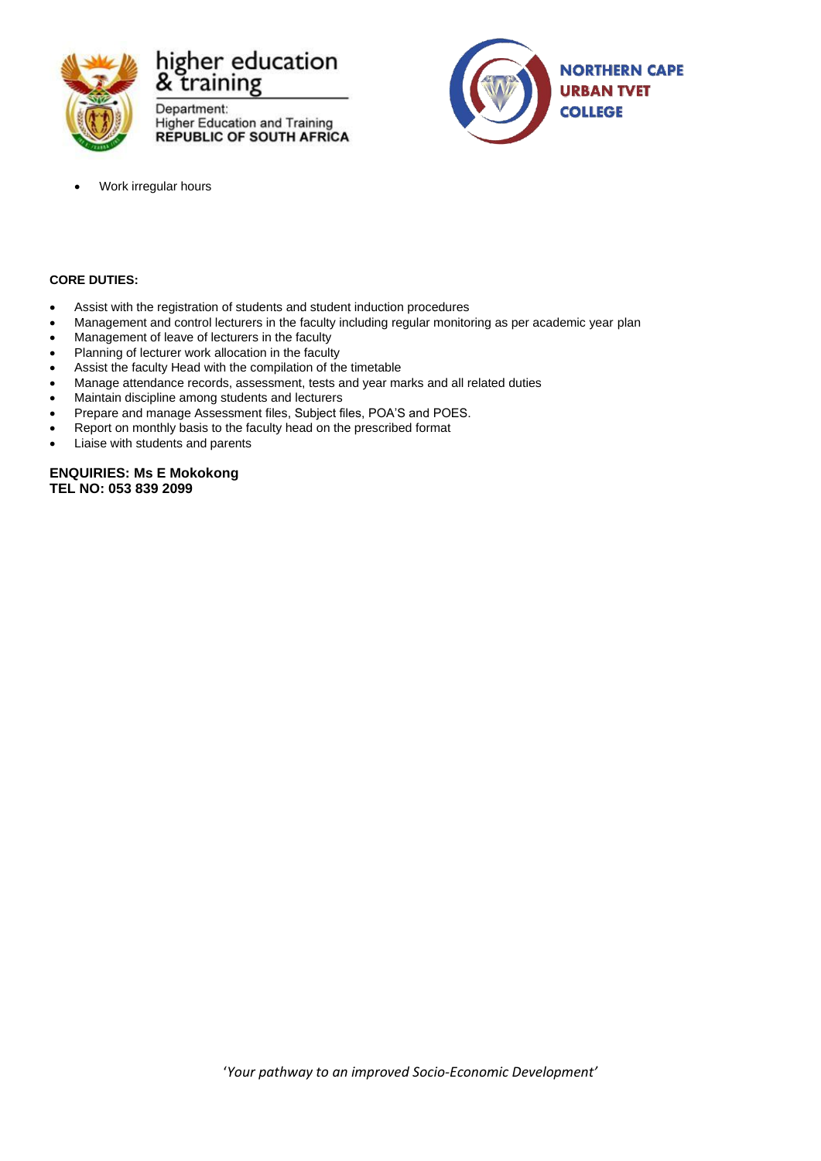

Department: **Higher Education and Training** REPUBLIC OF SOUTH AFRICA



• Work irregular hours

#### **CORE DUTIES:**

- Assist with the registration of students and student induction procedures
- Management and control lecturers in the faculty including regular monitoring as per academic year plan
- Management of leave of lecturers in the faculty
- Planning of lecturer work allocation in the faculty
- Assist the faculty Head with the compilation of the timetable
- Manage attendance records, assessment, tests and year marks and all related duties
- Maintain discipline among students and lecturers
- Prepare and manage Assessment files, Subject files, POA'S and POES.
- Report on monthly basis to the faculty head on the prescribed format
- Liaise with students and parents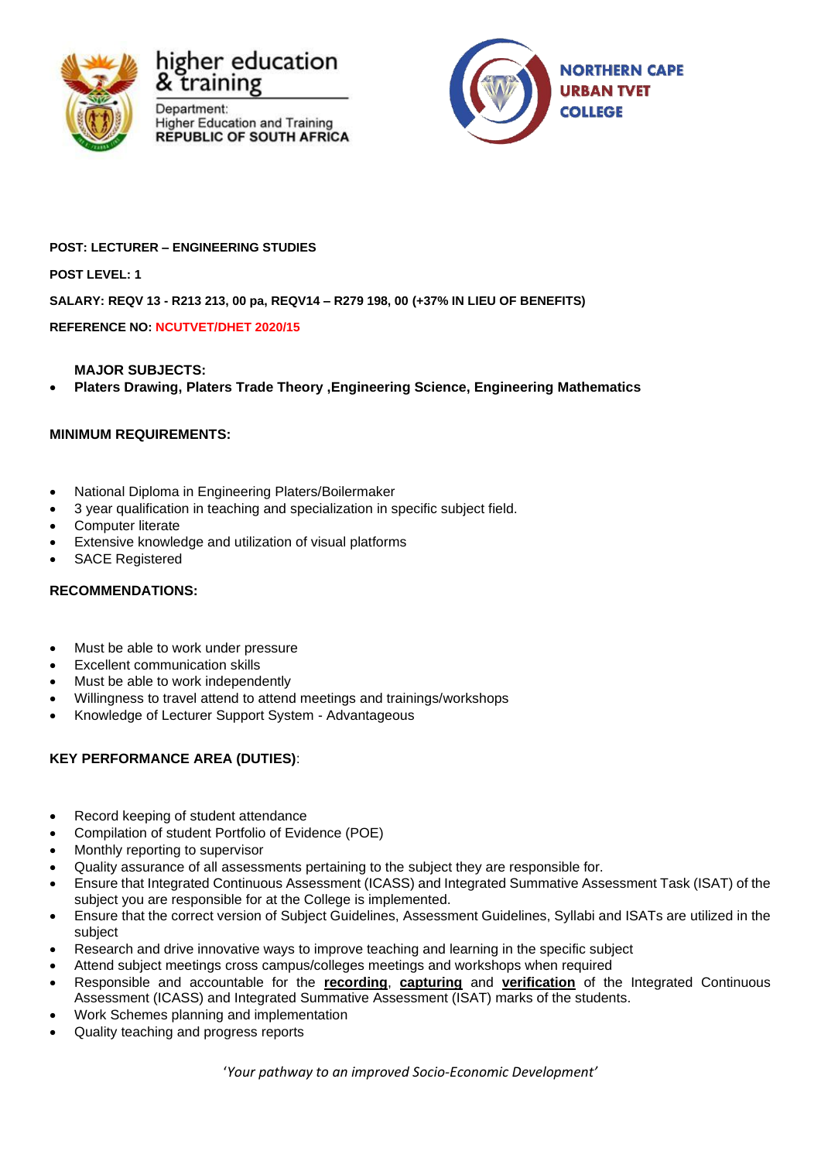





# **POST: LECTURER – ENGINEERING STUDIES**

**POST LEVEL: 1**

# **SALARY: REQV 13 - R213 213, 00 pa, REQV14 – R279 198, 00 (+37% IN LIEU OF BENEFITS)**

**REFERENCE NO: NCUTVET/DHET 2020/15**

# **MAJOR SUBJECTS:**

• **Platers Drawing, Platers Trade Theory ,Engineering Science, Engineering Mathematics**

# **MINIMUM REQUIREMENTS:**

- National Diploma in Engineering Platers/Boilermaker
- 3 year qualification in teaching and specialization in specific subject field.
- Computer literate
- Extensive knowledge and utilization of visual platforms
- SACE Registered

#### **RECOMMENDATIONS:**

- Must be able to work under pressure
- **Excellent communication skills**
- Must be able to work independently
- Willingness to travel attend to attend meetings and trainings/workshops
- Knowledge of Lecturer Support System Advantageous

# **KEY PERFORMANCE AREA (DUTIES)**:

- Record keeping of student attendance
- Compilation of student Portfolio of Evidence (POE)
- Monthly reporting to supervisor
- Quality assurance of all assessments pertaining to the subject they are responsible for.
- Ensure that Integrated Continuous Assessment (ICASS) and Integrated Summative Assessment Task (ISAT) of the subject you are responsible for at the College is implemented.
- Ensure that the correct version of Subject Guidelines, Assessment Guidelines, Syllabi and ISATs are utilized in the subject
- Research and drive innovative ways to improve teaching and learning in the specific subject
- Attend subject meetings cross campus/colleges meetings and workshops when required
- Responsible and accountable for the **recording**, **capturing** and **verification** of the Integrated Continuous Assessment (ICASS) and Integrated Summative Assessment (ISAT) marks of the students.
- Work Schemes planning and implementation
- Quality teaching and progress reports

'*Your pathway to an improved Socio-Economic Development'*